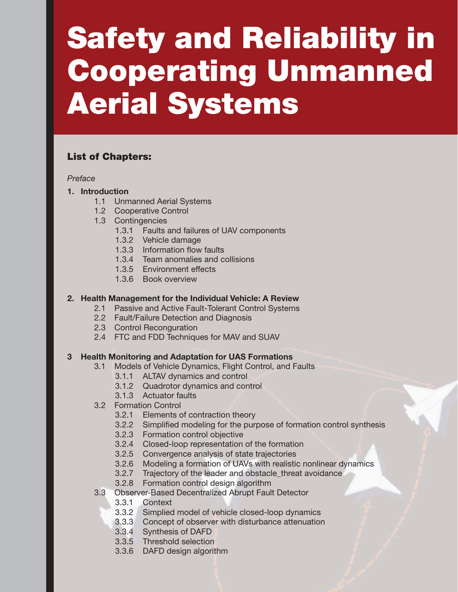# Safety and Reliability in Cooperating Unmanned Aerial Systems

# List of Chapters:

## *Preface*

- 1. Introduction
	- 1.1 Unmanned Aerial Systems
	- 1.2 Cooperative Control
	- 1.3 Contingencies
		- 1.3.1 Faults and failures of UAV components
		- 1.3.2 Vehicle damage
		- 1.3.3 Information flow faults
		- 1.3.4 Team anomalies and collisions
		- 1.3.5 Environment effects
		- 1.3.6 Book overview

# 2. Health Management for the Individual Vehicle: A Review

- 2.1 Passive and Active Fault-Tolerant Control Systems
- 2.2 Fault/Failure Detection and Diagnosis
- 2.3 Control Reconguration
- 2.4 FTC and FDD Techniques for MAV and SUAV

# 3 Health Monitoring and Adaptation for UAS Formations

- 3.1 Models of Vehicle Dynamics, Flight Control, and Faults
	- 3.1.1 ALTAV dynamics and control
	- 3.1.2 Quadrotor dynamics and control
	- 3.1.3 Actuator faults
- 3.2 Formation Control
	- 3.2.1 Elements of contraction theory
	- 3.2.2 Simplified modeling for the purpose of formation control synthesis
	- 3.2.3 Formation control objective
	- 3.2.4 Closed-loop representation of the formation
	- 3.2.5 Convergence analysis of state trajectories
	- 3.2.6 Modeling a formation of UAVs with realistic nonlinear dynamics
	- 3.2.7 Trajectory of the leader and obstacle\_threat avoidance
	- 3.2.8 Formation control design algorithm
- 3.3 Observer-Based Decentralized Abrupt Fault Detector
	- 3.3.1 Context
	- 3.3.2 Simplied model of vehicle closed-loop dynamics
	- 3.3.3 Concept of observer with disturbance attenuation
	- 3.3.4 Synthesis of DAFD
	- 3.3.5 Threshold selection
	- 3.3.6 DAFD design algorithm